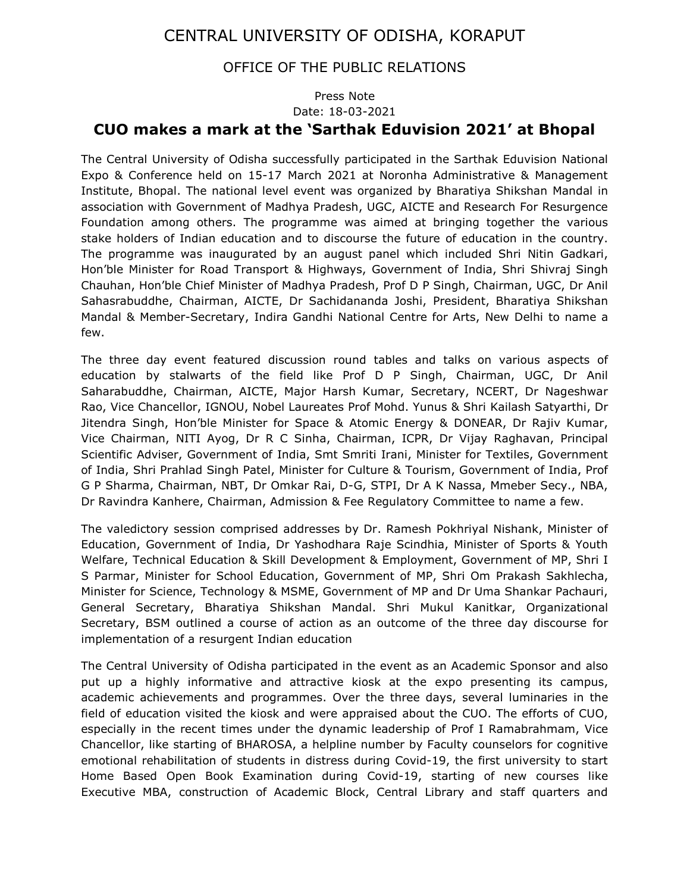## CENTRAL UNIVERSITY OF ODISHA, KORAPUT

## OFFICE OF THE PUBLIC RELATIONS

## Press Note Date: 18-03-2021 CUO makes a mark at the 'Sarthak Eduvision 2021' at Bhopal

The Central University of Odisha successfully participated in the Sarthak Eduvision National Expo & Conference held on 15-17 March 2021 at Noronha Administrative & Management Institute, Bhopal. The national level event was organized by Bharatiya Shikshan Mandal in association with Government of Madhya Pradesh, UGC, AICTE and Research For Resurgence Foundation among others. The programme was aimed at bringing together the various stake holders of Indian education and to discourse the future of education in the country. The programme was inaugurated by an august panel which included Shri Nitin Gadkari, Hon'ble Minister for Road Transport & Highways, Government of India, Shri Shivraj Singh Chauhan, Hon'ble Chief Minister of Madhya Pradesh, Prof D P Singh, Chairman, UGC, Dr Anil Sahasrabuddhe, Chairman, AICTE, Dr Sachidananda Joshi, President, Bharatiya Shikshan Mandal & Member-Secretary, Indira Gandhi National Centre for Arts, New Delhi to name a few.

The three day event featured discussion round tables and talks on various aspects of education by stalwarts of the field like Prof D P Singh, Chairman, UGC, Dr Anil Saharabuddhe, Chairman, AICTE, Major Harsh Kumar, Secretary, NCERT, Dr Nageshwar Rao, Vice Chancellor, IGNOU, Nobel Laureates Prof Mohd. Yunus & Shri Kailash Satyarthi, Dr Jitendra Singh, Hon'ble Minister for Space & Atomic Energy & DONEAR, Dr Rajiv Kumar, Vice Chairman, NITI Ayog, Dr R C Sinha, Chairman, ICPR, Dr Vijay Raghavan, Principal Scientific Adviser, Government of India, Smt Smriti Irani, Minister for Textiles, Government of India, Shri Prahlad Singh Patel, Minister for Culture & Tourism, Government of India, Prof G P Sharma, Chairman, NBT, Dr Omkar Rai, D-G, STPI, Dr A K Nassa, Mmeber Secy., NBA, Dr Ravindra Kanhere, Chairman, Admission & Fee Regulatory Committee to name a few.

The valedictory session comprised addresses by Dr. Ramesh Pokhriyal Nishank, Minister of Education, Government of India, Dr Yashodhara Raje Scindhia, Minister of Sports & Youth Welfare, Technical Education & Skill Development & Employment, Government of MP, Shri I S Parmar, Minister for School Education, Government of MP, Shri Om Prakash Sakhlecha, Minister for Science, Technology & MSME, Government of MP and Dr Uma Shankar Pachauri, General Secretary, Bharatiya Shikshan Mandal. Shri Mukul Kanitkar, Organizational Secretary, BSM outlined a course of action as an outcome of the three day discourse for implementation of a resurgent Indian education

The Central University of Odisha participated in the event as an Academic Sponsor and also put up a highly informative and attractive kiosk at the expo presenting its campus, academic achievements and programmes. Over the three days, several luminaries in the field of education visited the kiosk and were appraised about the CUO. The efforts of CUO, especially in the recent times under the dynamic leadership of Prof I Ramabrahmam, Vice Chancellor, like starting of BHAROSA, a helpline number by Faculty counselors for cognitive emotional rehabilitation of students in distress during Covid-19, the first university to start Home Based Open Book Examination during Covid-19, starting of new courses like Executive MBA, construction of Academic Block, Central Library and staff quarters and